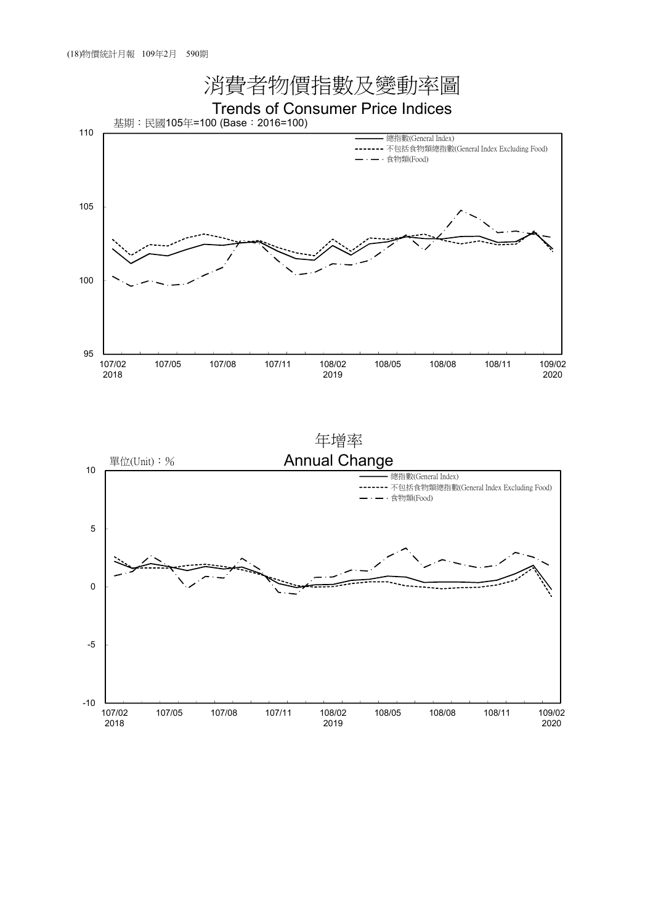

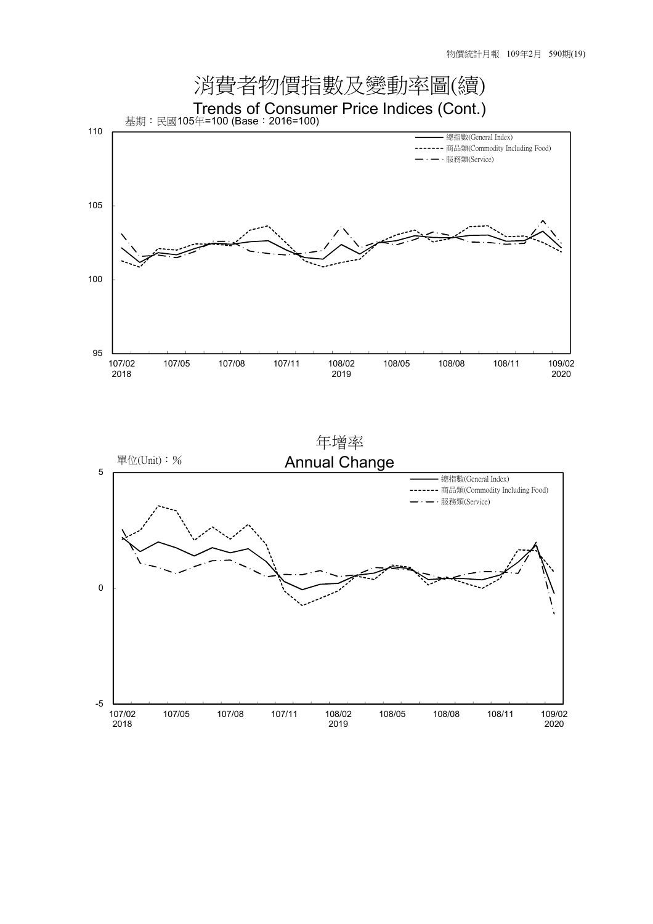